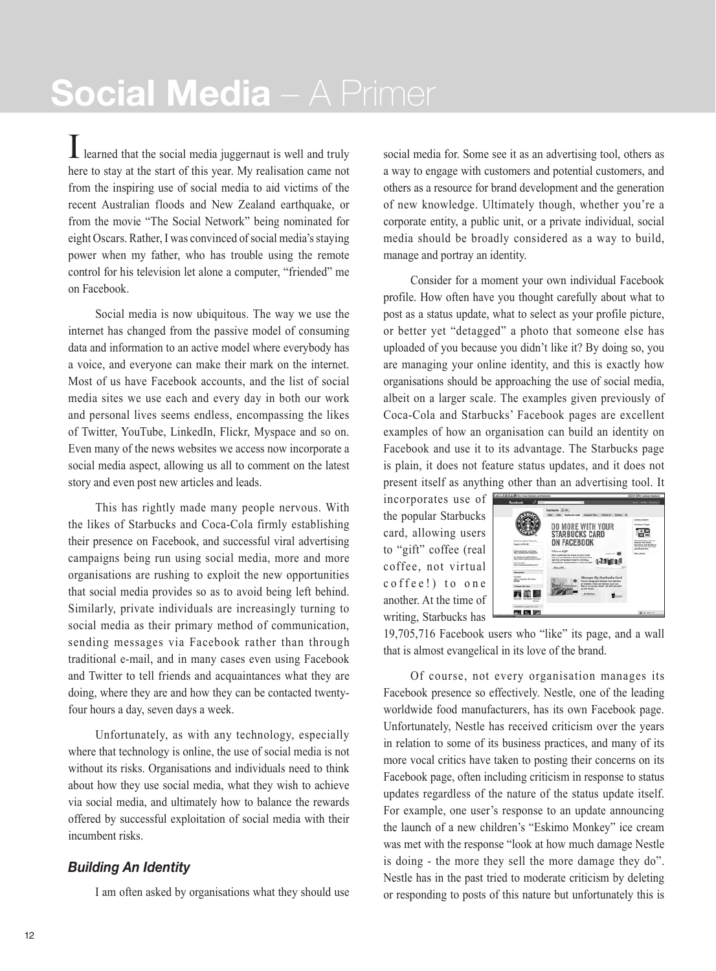I learned that the social media juggernaut is well and truly here to stay at the start of this year. My realisation came not from the inspiring use of social media to aid victims of the recent Australian floods and New Zealand earthquake, or from the movie "The Social Network" being nominated for eight Oscars. Rather, I was convinced of social media's staying power when my father, who has trouble using the remote control for his television let alone a computer, "friended" me on Facebook.

Social media is now ubiquitous. The way we use the internet has changed from the passive model of consuming data and information to an active model where everybody has a voice, and everyone can make their mark on the internet. Most of us have Facebook accounts, and the list of social media sites we use each and every day in both our work and personal lives seems endless, encompassing the likes of Twitter, YouTube, LinkedIn, Flickr, Myspace and so on. Even many of the news websites we access now incorporate a social media aspect, allowing us all to comment on the latest story and even post new articles and leads.

This has rightly made many people nervous. With the likes of Starbucks and Coca-Cola firmly establishing their presence on Facebook, and successful viral advertising campaigns being run using social media, more and more organisations are rushing to exploit the new opportunities that social media provides so as to avoid being left behind. Similarly, private individuals are increasingly turning to social media as their primary method of communication, sending messages via Facebook rather than through traditional e-mail, and in many cases even using Facebook and Twitter to tell friends and acquaintances what they are doing, where they are and how they can be contacted twentyfour hours a day, seven days a week.

Unfortunately, as with any technology, especially where that technology is online, the use of social media is not without its risks. Organisations and individuals need to think about how they use social media, what they wish to achieve via social media, and ultimately how to balance the rewards offered by successful exploitation of social media with their incumbent risks.

## *Building An Identity*

I am often asked by organisations what they should use

social media for. Some see it as an advertising tool, others as a way to engage with customers and potential customers, and others as a resource for brand development and the generation of new knowledge. Ultimately though, whether you're a corporate entity, a public unit, or a private individual, social media should be broadly considered as a way to build, manage and portray an identity.

Consider for a moment your own individual Facebook profile. How often have you thought carefully about what to post as a status update, what to select as your profile picture, or better yet "detagged" a photo that someone else has uploaded of you because you didn't like it? By doing so, you are managing your online identity, and this is exactly how organisations should be approaching the use of social media, albeit on a larger scale. The examples given previously of Coca-Cola and Starbucks' Facebook pages are excellent examples of how an organisation can build an identity on Facebook and use it to its advantage. The Starbucks page is plain, it does not feature status updates, and it does not present itself as anything other than an advertising tool. It

incorporates use of the popular Starbucks card, allowing users to "gift" coffee (real coffee, not virtual coffee!) to one another. At the time of writing, Starbucks has



19,705,716 Facebook users who "like" its page, and a wall that is almost evangelical in its love of the brand.

Of course, not every organisation manages its Facebook presence so effectively. Nestle, one of the leading worldwide food manufacturers, has its own Facebook page. Unfortunately, Nestle has received criticism over the years in relation to some of its business practices, and many of its more vocal critics have taken to posting their concerns on its Facebook page, often including criticism in response to status updates regardless of the nature of the status update itself. For example, one user's response to an update announcing the launch of a new children's "Eskimo Monkey" ice cream was met with the response "look at how much damage Nestle is doing - the more they sell the more damage they do". Nestle has in the past tried to moderate criticism by deleting or responding to posts of this nature but unfortunately this is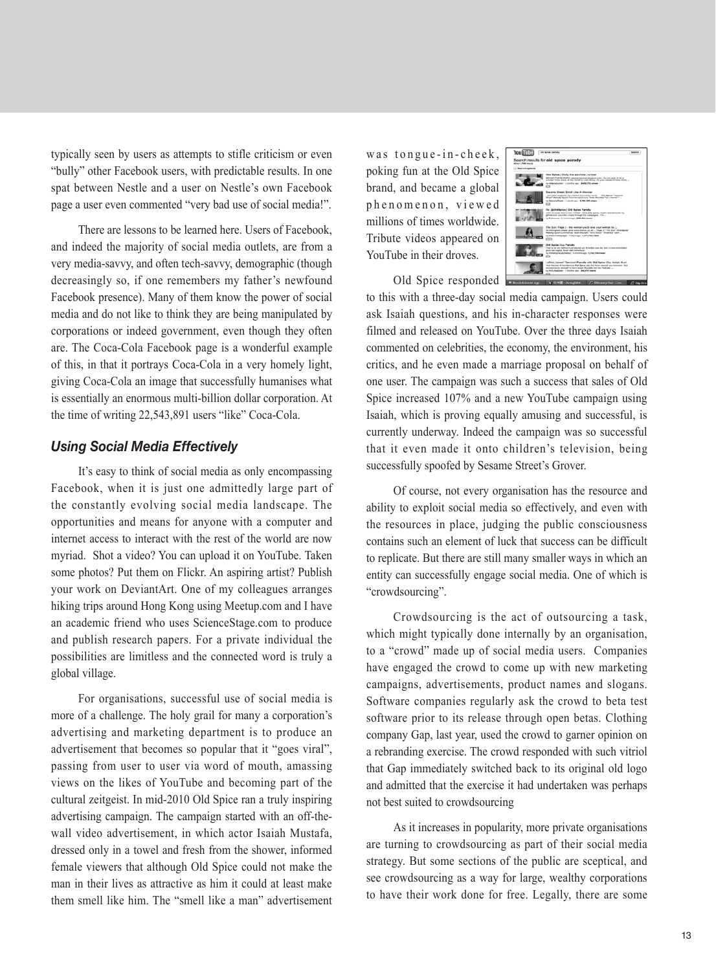typically seen by users as attempts to stifle criticism or even "bully" other Facebook users, with predictable results. In one spat between Nestle and a user on Nestle's own Facebook page a user even commented "very bad use of social media!".

There are lessons to be learned here. Users of Facebook, and indeed the majority of social media outlets, are from a very media-savvy, and often tech-savvy, demographic (though decreasingly so, if one remembers my father's newfound Facebook presence). Many of them know the power of social media and do not like to think they are being manipulated by corporations or indeed government, even though they often are. The Coca-Cola Facebook page is a wonderful example of this, in that it portrays Coca-Cola in a very homely light, giving Coca-Cola an image that successfully humanises what is essentially an enormous multi-billion dollar corporation. At the time of writing 22,543,891 users "like" Coca-Cola.

## *Using Social Media Effectively*

It's easy to think of social media as only encompassing Facebook, when it is just one admittedly large part of the constantly evolving social media landscape. The opportunities and means for anyone with a computer and internet access to interact with the rest of the world are now myriad. Shot a video? You can upload it on YouTube. Taken some photos? Put them on Flickr. An aspiring artist? Publish your work on DeviantArt. One of my colleagues arranges hiking trips around Hong Kong using Meetup.com and I have an academic friend who uses ScienceStage.com to produce and publish research papers. For a private individual the possibilities are limitless and the connected word is truly a global village.

For organisations, successful use of social media is more of a challenge. The holy grail for many a corporation's advertising and marketing department is to produce an advertisement that becomes so popular that it "goes viral", passing from user to user via word of mouth, amassing views on the likes of YouTube and becoming part of the cultural zeitgeist. In mid-2010 Old Spice ran a truly inspiring advertising campaign. The campaign started with an off-thewall video advertisement, in which actor Isaiah Mustafa, dressed only in a towel and fresh from the shower, informed female viewers that although Old Spice could not make the man in their lives as attractive as him it could at least make them smell like him. The "smell like a man" advertisement

was tongue-in-cheek, poking fun at the Old Spice brand, and became a global phenomenon, viewed millions of times worldwide. Tribute videos appeared on YouTube in their droves.

| You <b>If the Committee Street</b> |                                                                                                                                                                                                                                                                            | <b>Bearing</b> |
|------------------------------------|----------------------------------------------------------------------------------------------------------------------------------------------------------------------------------------------------------------------------------------------------------------------------|----------------|
| <b>Alleged &amp; FMR months</b>    | Search results for old spice parody                                                                                                                                                                                                                                        |                |
| 11 Search spikes                   |                                                                                                                                                                                                                                                                            |                |
|                                    | New Balos   Dividy Star a scholar, scholar<br>Minister's Ford Art Park to repute on accounts chromical county, this area want to be a<br>scholar? Then study at the though it Load Army. For your interest from trady -<br>in Indonesia bat it months can \$400,072 stower |                |
|                                    | Easterna Street: Email Like A Mansfer                                                                                                                                                                                                                                      |                |
|                                    | and other programs for children around the world.  "One by<br>Breat" Parisda Sport Commercial Conser "South Municipal "an a hanner"                                                                                                                                        |                |
|                                    | in December 1 mode out 5,762,500 staws                                                                                                                                                                                                                                     |                |
|                                    | Re: (ECHPSpice   Old Spice Parady)                                                                                                                                                                                                                                         |                |
|                                    | Click his farest lithy of costs Thefigan - SATU-CRA Special region. Must offer look- inc.<br>anthroping is author change through the futbooks . The                                                                                                                        |                |
|                                    | to Tolomium, Arrantino aux. 445,000 closes.                                                                                                                                                                                                                                |                |
|                                    | The Sun: Page 3 - the woman you'd love your woman to                                                                                                                                                                                                                       |                |
|                                    | for more work videos as to be since them in a up  These II "The Sun" "She Banes"<br>Panedy Sport Centralizat "such Mochile" "on a force" "small but" clark                                                                                                                 |                |
|                                    | to Pennsylvania paper 14 Hours ago: 14 JPE743 Hours<br>cm.                                                                                                                                                                                                                 |                |
|                                    | Old Spies Duy Paredy                                                                                                                                                                                                                                                       |                |
|                                    | That's as you have a situated about our fortunities can be hard 1 know some black<br>guide and resumes, the air wind chairmaticing.                                                                                                                                        |                |
|                                    | ty Telestycias accepted: 3 months con . 1,194,199 crews<br>it's                                                                                                                                                                                                            |                |
|                                    | Letting James' Geologie' Parady with Old Batter Ouy Issue Must                                                                                                                                                                                                             |                |
|                                    | titula that situated the mission of that Basica auto that have a powerfunction assure. And -<br>sociologically annual in have locate Municipal vial the Poolisher                                                                                                          |                |
|                                    | by Aris Presidence / Houston Ave., 899-914 Walker                                                                                                                                                                                                                          |                |

Old Spice responded

to this with a three-day social media campaign. Users could ask Isaiah questions, and his in-character responses were filmed and released on YouTube. Over the three days Isaiah commented on celebrities, the economy, the environment, his critics, and he even made a marriage proposal on behalf of one user. The campaign was such a success that sales of Old Spice increased 107% and a new YouTube campaign using Isaiah, which is proving equally amusing and successful, is currently underway. Indeed the campaign was so successful that it even made it onto children's television, being successfully spoofed by Sesame Street's Grover.

Of course, not every organisation has the resource and ability to exploit social media so effectively, and even with the resources in place, judging the public consciousness contains such an element of luck that success can be difficult to replicate. But there are still many smaller ways in which an entity can successfully engage social media. One of which is "crowdsourcing".

Crowdsourcing is the act of outsourcing a task, which might typically done internally by an organisation, to a "crowd" made up of social media users. Companies have engaged the crowd to come up with new marketing campaigns, advertisements, product names and slogans. Software companies regularly ask the crowd to beta test software prior to its release through open betas. Clothing company Gap, last year, used the crowd to garner opinion on a rebranding exercise. The crowd responded with such vitriol that Gap immediately switched back to its original old logo and admitted that the exercise it had undertaken was perhaps not best suited to crowdsourcing

As it increases in popularity, more private organisations are turning to crowdsourcing as part of their social media strategy. But some sections of the public are sceptical, and see crowdsourcing as a way for large, wealthy corporations to have their work done for free. Legally, there are some